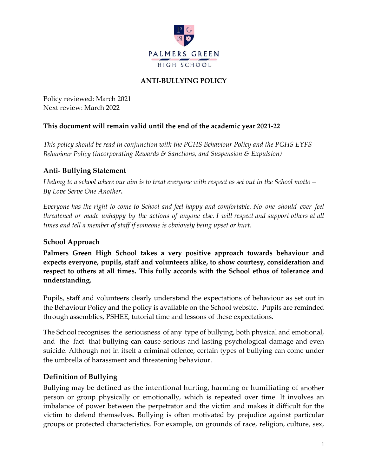

#### **ANTI-BULLYING POLICY**

Policy reviewed: March 2021 Next review: March 2022

#### **This document will remain valid until the end of the academic year 2021-22**

*This policy should be read in conjunction with the PGHS Behaviour Policy and the PGHS EYFS Behaviour Policy (incorporating Rewards & Sanctions, and Suspension & Expulsion)*

#### **Anti- Bullying Statement**

*I belong to a school where our aim is to treat everyone with respect as set out in the School motto – By Love Serve One Another***.**

*Everyone has the right to come to School and feel happy and comfortable. No one should ever feel threatened or made unhappy by the actions of anyone else. I will respect and support others at all times and tell a member of staff if someone is obviously being upset or hurt.*

#### **School Approach**

**Palmers Green High School takes a very positive approach towards behaviour and expects everyone, pupils, staff and volunteers alike, to show courtesy, consideration and respect to others at all times. This fully accords with the School ethos of tolerance and understanding.** 

Pupils, staff and volunteers clearly understand the expectations of behaviour as set out in the Behaviour Policy and the policy is available on the School website. Pupils are reminded through assemblies, PSHEE, tutorial time and lessons of these expectations.

The School recognises the seriousness of any type of bullying, both physical and emotional, and the fact that bullying can cause serious and lasting psychological damage and even suicide. Although not in itself a criminal offence, certain types of bullying can come under the umbrella of harassment and threatening behaviour.

#### **Definition of Bullying**

Bullying may be defined as the intentional hurting, harming or humiliating of another person or group physically or emotionally, which is repeated over time. It involves an imbalance of power between the perpetrator and the victim and makes it difficult for the victim to defend themselves. Bullying is often motivated by prejudice against particular groups or protected characteristics. For example, on grounds of race, religion, culture, sex,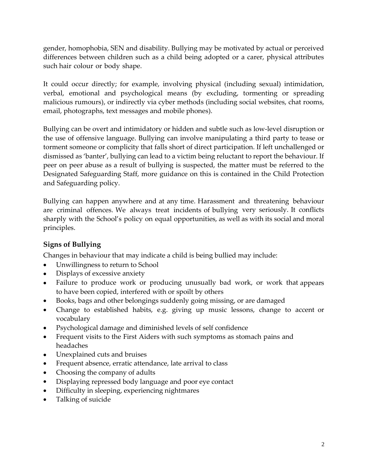gender, homophobia, SEN and disability. Bullying may be motivated by actual or perceived differences between children such as a child being adopted or a carer, physical attributes such hair colour or body shape.

It could occur directly; for example, involving physical (including sexual) intimidation, verbal, emotional and psychological means (by excluding, tormenting or spreading malicious rumours), or indirectly via cyber methods (including social websites, chat rooms, email, photographs, text messages and mobile phones).

Bullying can be overt and intimidatory or hidden and subtle such as low-level disruption or the use of offensive language. Bullying can involve manipulating a third party to tease or torment someone or complicity that falls short of direct participation. If left unchallenged or dismissed as 'banter', bullying can lead to a victim being reluctant to report the behaviour. If peer on peer abuse as a result of bullying is suspected, the matter must be referred to the Designated Safeguarding Staff, more guidance on this is contained in the Child Protection and Safeguarding policy.

Bullying can happen anywhere and at any time. Harassment and threatening behaviour are criminal offences. We always treat incidents of bullying very seriously. It conflicts sharply with the School's policy on equal opportunities, as well as with its social and moral principles.

## **Signs of Bullying**

Changes in behaviour that may indicate a child is being bullied may include:

- Unwillingness to return to School
- Displays of excessive anxiety
- Failure to produce work or producing unusually bad work, or work that appears to have been copied, interfered with or spoilt by others
- Books, bags and other belongings suddenly going missing, or are damaged
- Change to established habits, e.g. giving up music lessons, change to accent or vocabulary
- Psychological damage and diminished levels of self confidence
- Frequent visits to the First Aiders with such symptoms as stomach pains and headaches
- Unexplained cuts and bruises
- Frequent absence, erratic attendance, late arrival to class
- Choosing the company of adults
- Displaying repressed body language and poor eye contact
- Difficulty in sleeping, experiencing nightmares
- Talking of suicide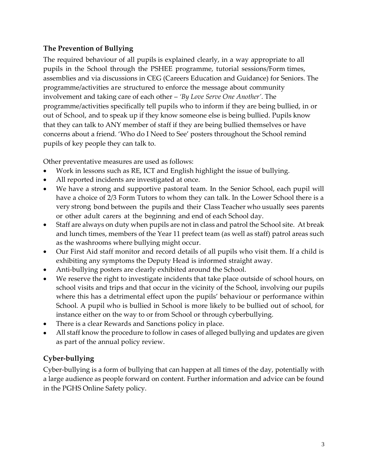## **The Prevention of Bullying**

The required behaviour of all pupils is explained clearly, in a way appropriate to all pupils in the School through the PSHEE programme, tutorial sessions/Form times, assemblies and via discussions in CEG (Careers Education and Guidance) for Seniors. The programme/activities are structured to enforce the message about community involvement and taking care of each other – *'By Love Serve One Another'*. The programme/activities specifically tell pupils who to inform if they are being bullied, in or out of School, and to speak up if they know someone else is being bullied. Pupils know that they can talk to ANY member of staff if they are being bullied themselves or have concerns about a friend. 'Who do I Need to See' posters throughout the School remind pupils of key people they can talk to.

Other preventative measures are used as follows:

- Work in lessons such as RE, ICT and English highlight the issue of bullying.
- All reported incidents are investigated at once.
- We have a strong and supportive pastoral team. In the Senior School, each pupil will have a choice of 2/3 Form Tutors to whom they can talk. In the Lower School there is a very strong bond between the pupils and their Class Teacher who usually sees parents or other adult carers at the beginning and end of each School day.
- Staff are always on duty when pupils are not in class and patrol the School site. At break and lunch times, members of the Year 11 prefect team (as well as staff) patrol areas such as the washrooms where bullying might occur.
- Our First Aid staff monitor and record details of all pupils who visit them. If a child is exhibiting any symptoms the Deputy Head is informed straight away.
- Anti-bullying posters are clearly exhibited around the School.
- We reserve the right to investigate incidents that take place outside of school hours, on school visits and trips and that occur in the vicinity of the School, involving our pupils where this has a detrimental effect upon the pupils' behaviour or performance within School. A pupil who is bullied in School is more likely to be bullied out of school, for instance either on the way to or from School or through cyberbullying.
- There is a clear Rewards and Sanctions policy in place.
- All staff know the procedure to follow in cases of alleged bullying and updates are given as part of the annual policy review.

# **Cyber-bullying**

Cyber-bullying is a form of bullying that can happen at all times of the day, potentially with a large audience as people forward on content. Further information and advice can be found in the PGHS Online Safety policy.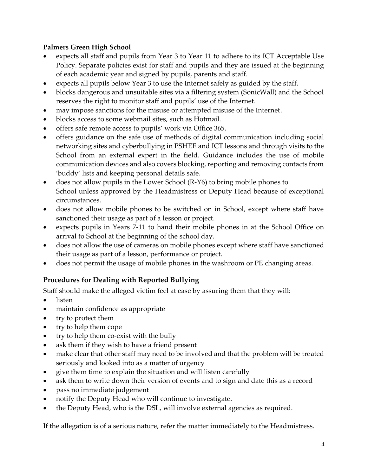#### **Palmers Green High School**

- expects all staff and pupils from Year 3 to Year 11 to adhere to its ICT Acceptable Use Policy. Separate policies exist for staff and pupils and they are issued at the beginning of each academic year and signed by pupils, parents and staff.
- expects all pupils below Year 3 to use the Internet safely as guided by the staff.
- blocks dangerous and unsuitable sites via a filtering system (SonicWall) and the School reserves the right to monitor staff and pupils' use of the Internet.
- may impose sanctions for the misuse or attempted misuse of the Internet.
- blocks access to some webmail sites, such as Hotmail.
- offers safe remote access to pupils' work via Office 365.
- offers guidance on the safe use of methods of digital communication including social networking sites and cyberbullying in PSHEE and ICT lessons and through visits to the School from an external expert in the field. Guidance includes the use of mobile communication devices and also covers blocking, reporting and removing contacts from 'buddy' lists and keeping personal details safe.
- does not allow pupils in the Lower School (R-Y6) to bring mobile phones to School unless approved by the Headmistress or Deputy Head because of exceptional circumstances.
- does not allow mobile phones to be switched on in School, except where staff have sanctioned their usage as part of a lesson or project.
- expects pupils in Years 7-11 to hand their mobile phones in at the School Office on arrival to School at the beginning of the school day.
- does not allow the use of cameras on mobile phones except where staff have sanctioned their usage as part of a lesson, performance or project.
- does not permit the usage of mobile phones in the washroom or PE changing areas.

# **Procedures for Dealing with Reported Bullying**

Staff should make the alleged victim feel at ease by assuring them that they will:

- listen
- maintain confidence as appropriate
- try to protect them
- try to help them cope
- try to help them co-exist with the bully
- ask them if they wish to have a friend present
- make clear that other staff may need to be involved and that the problem will be treated seriously and looked into as a matter of urgency
- give them time to explain the situation and will listen carefully
- ask them to write down their version of events and to sign and date this as a record
- pass no immediate judgement
- notify the Deputy Head who will continue to investigate.
- the Deputy Head, who is the DSL, will involve external agencies as required.

If the allegation is of a serious nature, refer the matter immediately to the Headmistress.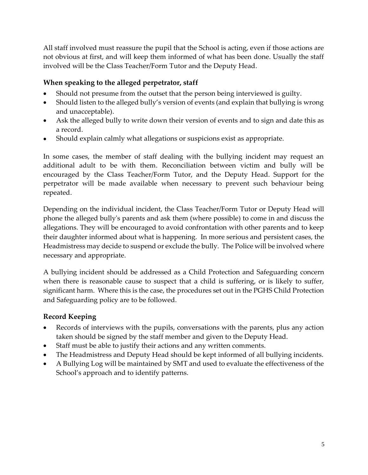All staff involved must reassure the pupil that the School is acting, even if those actions are not obvious at first, and will keep them informed of what has been done. Usually the staff involved will be the Class Teacher/Form Tutor and the Deputy Head.

#### **When speaking to the alleged perpetrator, staff**

- Should not presume from the outset that the person being interviewed is guilty.
- Should listen to the alleged bully's version of events (and explain that bullying is wrong and unacceptable).
- Ask the alleged bully to write down their version of events and to sign and date this as a record.
- Should explain calmly what allegations or suspicions exist as appropriate.

In some cases, the member of staff dealing with the bullying incident may request an additional adult to be with them. Reconciliation between victim and bully will be encouraged by the Class Teacher/Form Tutor, and the Deputy Head. Support for the perpetrator will be made available when necessary to prevent such behaviour being repeated.

Depending on the individual incident, the Class Teacher/Form Tutor or Deputy Head will phone the alleged bully's parents and ask them (where possible) to come in and discuss the allegations. They will be encouraged to avoid confrontation with other parents and to keep their daughter informed about what is happening. In more serious and persistent cases, the Headmistress may decide to suspend or exclude the bully. The Police will be involved where necessary and appropriate.

A bullying incident should be addressed as a Child Protection and Safeguarding concern when there is reasonable cause to suspect that a child is suffering, or is likely to suffer, significant harm. Where this is the case, the procedures set out in the PGHS Child Protection and Safeguarding policy are to be followed.

## **Record Keeping**

- Records of interviews with the pupils, conversations with the parents, plus any action taken should be signed by the staff member and given to the Deputy Head.
- Staff must be able to justify their actions and any written comments.
- The Headmistress and Deputy Head should be kept informed of all bullying incidents.
- A Bullying Log will be maintained by SMT and used to evaluate the effectiveness of the School's approach and to identify patterns.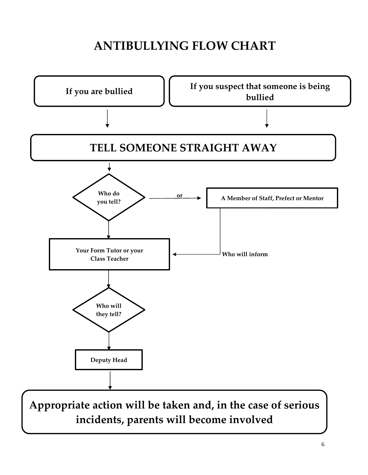# **ANTIBULLYING FLOW CHART**